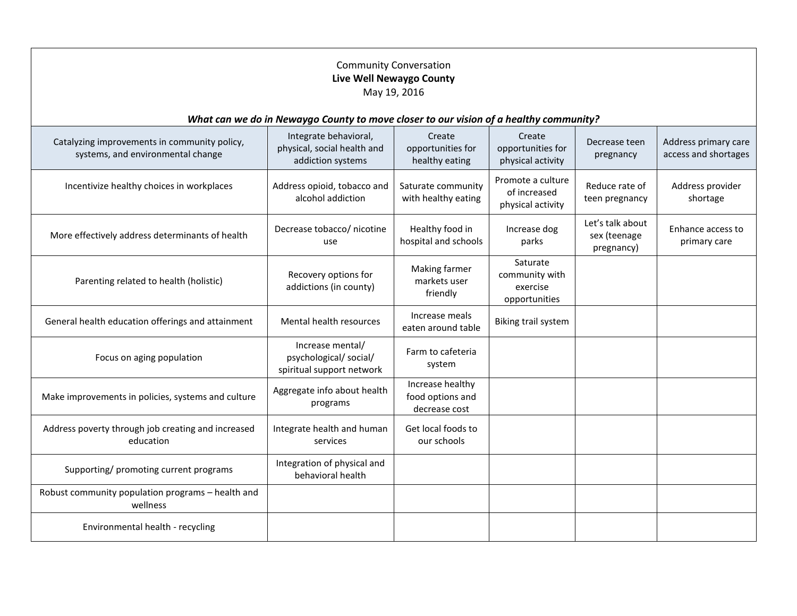| <b>Community Conversation</b><br>Live Well Newaygo County<br>May 19, 2016             |                                                                           |                                                       |                                                         |                                                |                                              |
|---------------------------------------------------------------------------------------|---------------------------------------------------------------------------|-------------------------------------------------------|---------------------------------------------------------|------------------------------------------------|----------------------------------------------|
| What can we do in Newaygo County to move closer to our vision of a healthy community? |                                                                           |                                                       |                                                         |                                                |                                              |
| Catalyzing improvements in community policy,<br>systems, and environmental change     | Integrate behavioral,<br>physical, social health and<br>addiction systems | Create<br>opportunities for<br>healthy eating         | Create<br>opportunities for<br>physical activity        | Decrease teen<br>pregnancy                     | Address primary care<br>access and shortages |
| Incentivize healthy choices in workplaces                                             | Address opioid, tobacco and<br>alcohol addiction                          | Saturate community<br>with healthy eating             | Promote a culture<br>of increased<br>physical activity  | Reduce rate of<br>teen pregnancy               | Address provider<br>shortage                 |
| More effectively address determinants of health                                       | Decrease tobacco/ nicotine<br>use                                         | Healthy food in<br>hospital and schools               | Increase dog<br>parks                                   | Let's talk about<br>sex (teenage<br>pregnancy) | Enhance access to<br>primary care            |
| Parenting related to health (holistic)                                                | Recovery options for<br>addictions (in county)                            | Making farmer<br>markets user<br>friendly             | Saturate<br>community with<br>exercise<br>opportunities |                                                |                                              |
| General health education offerings and attainment                                     | Mental health resources                                                   | Increase meals<br>eaten around table                  | Biking trail system                                     |                                                |                                              |
| Focus on aging population                                                             | Increase mental/<br>psychological/social/<br>spiritual support network    | Farm to cafeteria<br>system                           |                                                         |                                                |                                              |
| Make improvements in policies, systems and culture                                    | Aggregate info about health<br>programs                                   | Increase healthy<br>food options and<br>decrease cost |                                                         |                                                |                                              |
| Address poverty through job creating and increased<br>education                       | Integrate health and human<br>services                                    | Get local foods to<br>our schools                     |                                                         |                                                |                                              |
| Supporting/ promoting current programs                                                | Integration of physical and<br>behavioral health                          |                                                       |                                                         |                                                |                                              |
| Robust community population programs - health and<br>wellness                         |                                                                           |                                                       |                                                         |                                                |                                              |
| Environmental health - recycling                                                      |                                                                           |                                                       |                                                         |                                                |                                              |